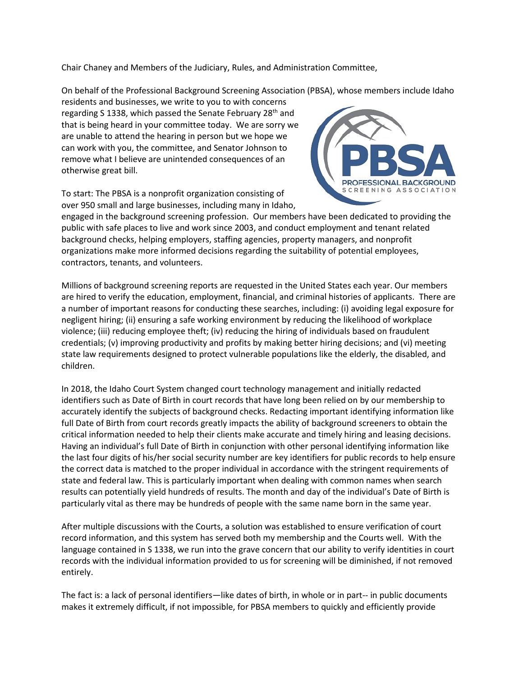Chair Chaney and Members of the Judiciary, Rules, and Administration Committee,

On behalf of the Professional Background Screening Association (PBSA), whose members include Idaho

residents and businesses, we write to you to with concerns regarding S 1338, which passed the Senate February 28<sup>th</sup> and that is being heard in your committee today. We are sorry we are unable to attend the hearing in person but we hope we can work with you, the committee, and Senator Johnson to remove what I believe are unintended consequences of an otherwise great bill.

To start: The PBSA is a nonprofit organization consisting of over 950 small and large businesses, including many in Idaho,



engaged in the background screening profession. Our members have been dedicated to providing the public with safe places to live and work since 2003, and conduct employment and tenant related background checks, helping employers, staffing agencies, property managers, and nonprofit organizations make more informed decisions regarding the suitability of potential employees, contractors, tenants, and volunteers.

Millions of background screening reports are requested in the United States each year. Our members are hired to verify the education, employment, financial, and criminal histories of applicants. There are a number of important reasons for conducting these searches, including: (i) avoiding legal exposure for negligent hiring; (ii) ensuring a safe working environment by reducing the likelihood of workplace violence; (iii) reducing employee theft; (iv) reducing the hiring of individuals based on fraudulent credentials; (v) improving productivity and profits by making better hiring decisions; and (vi) meeting state law requirements designed to protect vulnerable populations like the elderly, the disabled, and children.

In 2018, the Idaho Court System changed court technology management and initially redacted identifiers such as Date of Birth in court records that have long been relied on by our membership to accurately identify the subjects of background checks. Redacting important identifying information like full Date of Birth from court records greatly impacts the ability of background screeners to obtain the critical information needed to help their clients make accurate and timely hiring and leasing decisions. Having an individual's full Date of Birth in conjunction with other personal identifying information like the last four digits of his/her social security number are key identifiers for public records to help ensure the correct data is matched to the proper individual in accordance with the stringent requirements of state and federal law. This is particularly important when dealing with common names when search results can potentially yield hundreds of results. The month and day of the individual's Date of Birth is particularly vital as there may be hundreds of people with the same name born in the same year.

After multiple discussions with the Courts, a solution was established to ensure verification of court record information, and this system has served both my membership and the Courts well. With the language contained in S 1338, we run into the grave concern that our ability to verify identities in court records with the individual information provided to us for screening will be diminished, if not removed entirely.

The fact is: a lack of personal identifiers—like dates of birth, in whole or in part-- in public documents makes it extremely difficult, if not impossible, for PBSA members to quickly and efficiently provide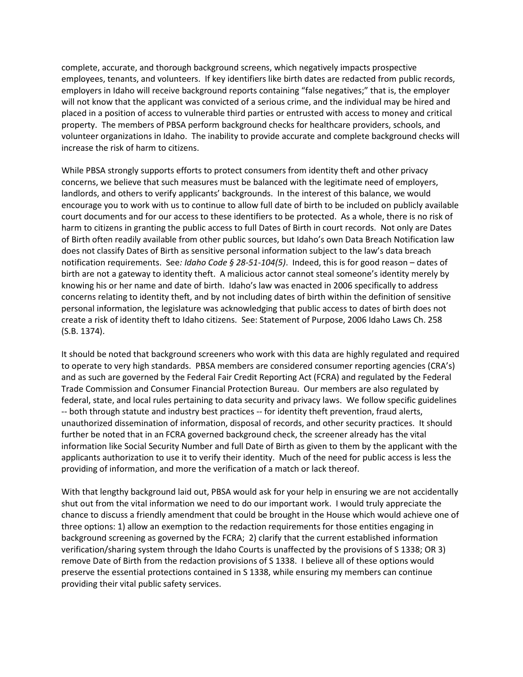complete, accurate, and thorough background screens, which negatively impacts prospective employees, tenants, and volunteers. If key identifiers like birth dates are redacted from public records, employers in Idaho will receive background reports containing "false negatives;" that is, the employer will not know that the applicant was convicted of a serious crime, and the individual may be hired and placed in a position of access to vulnerable third parties or entrusted with access to money and critical property. The members of PBSA perform background checks for healthcare providers, schools, and volunteer organizations in Idaho. The inability to provide accurate and complete background checks will increase the risk of harm to citizens.

While PBSA strongly supports efforts to protect consumers from identity theft and other privacy concerns, we believe that such measures must be balanced with the legitimate need of employers, landlords, and others to verify applicants' backgrounds. In the interest of this balance, we would encourage you to work with us to continue to allow full date of birth to be included on publicly available court documents and for our access to these identifiers to be protected. As a whole, there is no risk of harm to citizens in granting the public access to full Dates of Birth in court records. Not only are Dates of Birth often readily available from other public sources, but Idaho's own Data Breach Notification law does not classify Dates of Birth as sensitive personal information subject to the law's data breach notification requirements. See*: Idaho Code § 28-51-104(5)*. Indeed, this is for good reason – dates of birth are not a gateway to identity theft. A malicious actor cannot steal someone's identity merely by knowing his or her name and date of birth. Idaho's law was enacted in 2006 specifically to address concerns relating to identity theft, and by not including dates of birth within the definition of sensitive personal information, the legislature was acknowledging that public access to dates of birth does not create a risk of identity theft to Idaho citizens. See: Statement of Purpose, 2006 Idaho Laws Ch. 258 (S.B. 1374).

It should be noted that background screeners who work with this data are highly regulated and required to operate to very high standards. PBSA members are considered consumer reporting agencies (CRA's) and as such are governed by the Federal Fair Credit Reporting Act (FCRA) and regulated by the Federal Trade Commission and Consumer Financial Protection Bureau. Our members are also regulated by federal, state, and local rules pertaining to data security and privacy laws. We follow specific guidelines -- both through statute and industry best practices -- for identity theft prevention, fraud alerts, unauthorized dissemination of information, disposal of records, and other security practices. It should further be noted that in an FCRA governed background check, the screener already has the vital information like Social Security Number and full Date of Birth as given to them by the applicant with the applicants authorization to use it to verify their identity. Much of the need for public access is less the providing of information, and more the verification of a match or lack thereof.

With that lengthy background laid out, PBSA would ask for your help in ensuring we are not accidentally shut out from the vital information we need to do our important work. I would truly appreciate the chance to discuss a friendly amendment that could be brought in the House which would achieve one of three options: 1) allow an exemption to the redaction requirements for those entities engaging in background screening as governed by the FCRA; 2) clarify that the current established information verification/sharing system through the Idaho Courts is unaffected by the provisions of S 1338; OR 3) remove Date of Birth from the redaction provisions of S 1338. I believe all of these options would preserve the essential protections contained in S 1338, while ensuring my members can continue providing their vital public safety services.